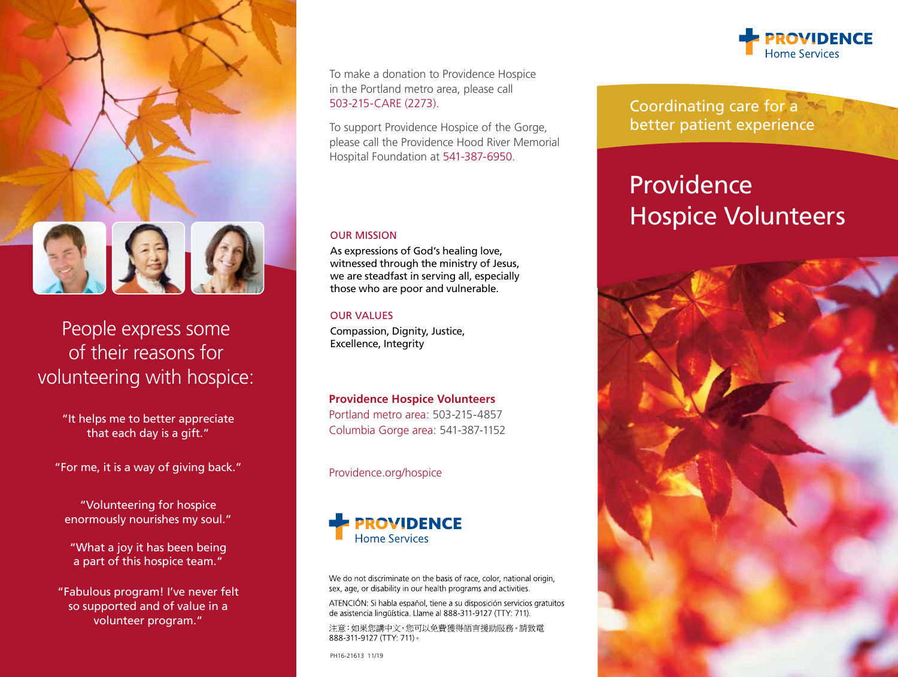

## People express some of their reasons for volunteering with hospice:

"It helps me to better appreciate that each day is a gift."

"For me, it is a way of giving back."

"Volunteering for hospice enormously nourishes my soul."

"What a joy it has been being a part of this hospice team."

"Fabulous program! I've never felt so supported and of value in a volunteer program."

To make a donation to Providence Hospice in the Portland metro area, please call 503-215-CARE (2273).

To support Providence Hospice of the Gorge, please call the Providence Hood River Memorial Hospital Foundation at 541-387-6950.

#### OUR MISSION

As expressions of God's healing love, witnessed through the ministry of Jesus, we are steadfast in serving all, especially those who are poor and vulnerable.

#### OUR VALUES

Compassion, Dignity, Justice, Excellence, Integrity

#### **Providence Hospice Volunteers**

Portland metro area: 503-215-4857 Columbia Gorge area: 541-387-1152

Providence.org/hospice



We do not discriminate on the basis of race, color, national origin, sex, age, or disability in our health programs and activities.

ATENCIÓN: Si habla español, tiene a su disposición servicios gratuitos de asistencia lingüística. Llame al 888-311-9127 (TTY: 711).

注意:如果您講中文,您可以免費獲得語言援助服務。請致電 888-311-9127 (TTY: 711) ·

PH16-21613 11/19



Coordinating care for a better patient experience

# **Providence** Hospice Volunteers